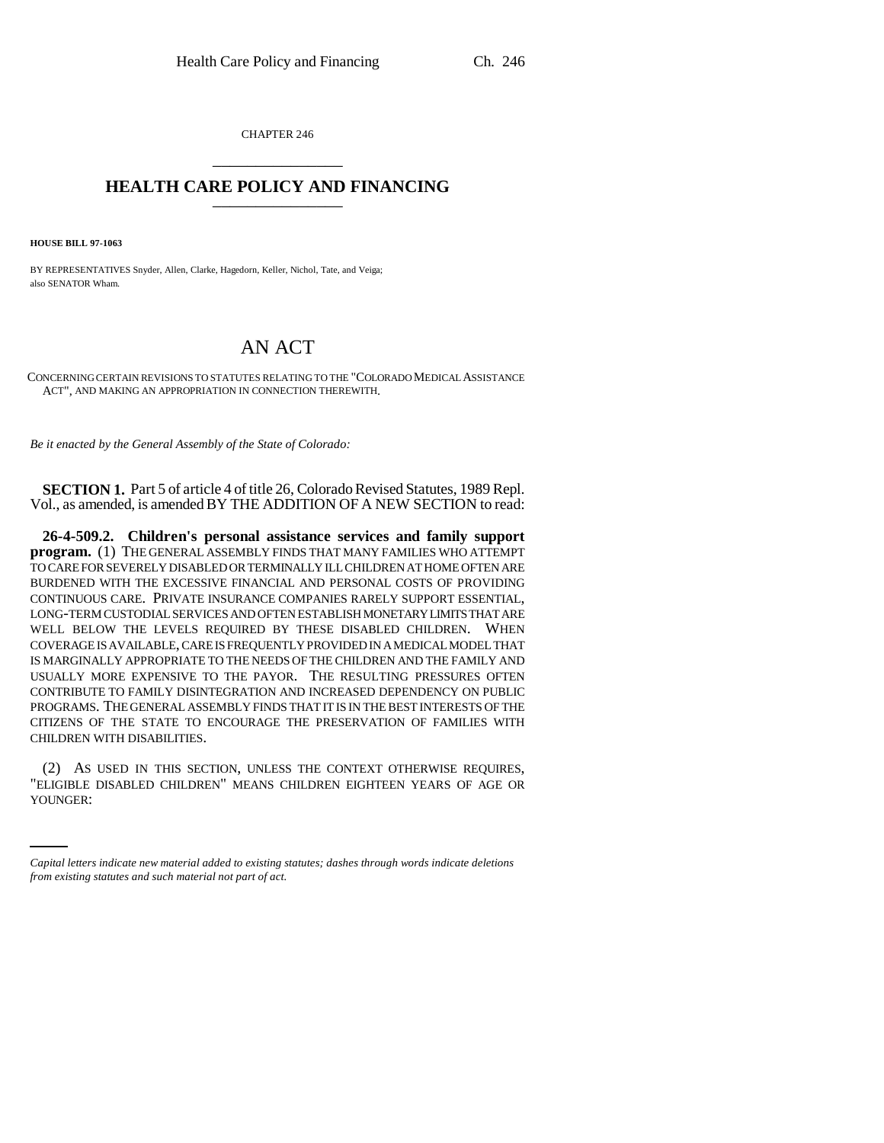CHAPTER 246 \_\_\_\_\_\_\_\_\_\_\_\_\_\_\_

## **HEALTH CARE POLICY AND FINANCING** \_\_\_\_\_\_\_\_\_\_\_\_\_\_\_

**HOUSE BILL 97-1063**

BY REPRESENTATIVES Snyder, Allen, Clarke, Hagedorn, Keller, Nichol, Tate, and Veiga; also SENATOR Wham.

## AN ACT

CONCERNING CERTAIN REVISIONS TO STATUTES RELATING TO THE "COLORADO MEDICAL ASSISTANCE ACT", AND MAKING AN APPROPRIATION IN CONNECTION THEREWITH.

*Be it enacted by the General Assembly of the State of Colorado:*

**SECTION 1.** Part 5 of article 4 of title 26, Colorado Revised Statutes, 1989 Repl. Vol., as amended, is amended BY THE ADDITION OF A NEW SECTION to read:

**26-4-509.2. Children's personal assistance services and family support program.** (1) THE GENERAL ASSEMBLY FINDS THAT MANY FAMILIES WHO ATTEMPT TO CARE FOR SEVERELY DISABLED OR TERMINALLY ILL CHILDREN AT HOME OFTEN ARE BURDENED WITH THE EXCESSIVE FINANCIAL AND PERSONAL COSTS OF PROVIDING CONTINUOUS CARE. PRIVATE INSURANCE COMPANIES RARELY SUPPORT ESSENTIAL, LONG-TERM CUSTODIAL SERVICES AND OFTEN ESTABLISH MONETARY LIMITS THAT ARE WELL BELOW THE LEVELS REQUIRED BY THESE DISABLED CHILDREN. WHEN COVERAGE IS AVAILABLE, CARE IS FREQUENTLY PROVIDED IN A MEDICAL MODEL THAT IS MARGINALLY APPROPRIATE TO THE NEEDS OF THE CHILDREN AND THE FAMILY AND USUALLY MORE EXPENSIVE TO THE PAYOR. THE RESULTING PRESSURES OFTEN CONTRIBUTE TO FAMILY DISINTEGRATION AND INCREASED DEPENDENCY ON PUBLIC PROGRAMS. THE GENERAL ASSEMBLY FINDS THAT IT IS IN THE BEST INTERESTS OF THE CITIZENS OF THE STATE TO ENCOURAGE THE PRESERVATION OF FAMILIES WITH CHILDREN WITH DISABILITIES.

(2) AS USED IN THIS SECTION, UNLESS THE CONTEXT OTHERWISE REQUIRES, "ELIGIBLE DISABLED CHILDREN" MEANS CHILDREN EIGHTEEN YEARS OF AGE OR YOUNGER:

*Capital letters indicate new material added to existing statutes; dashes through words indicate deletions from existing statutes and such material not part of act.*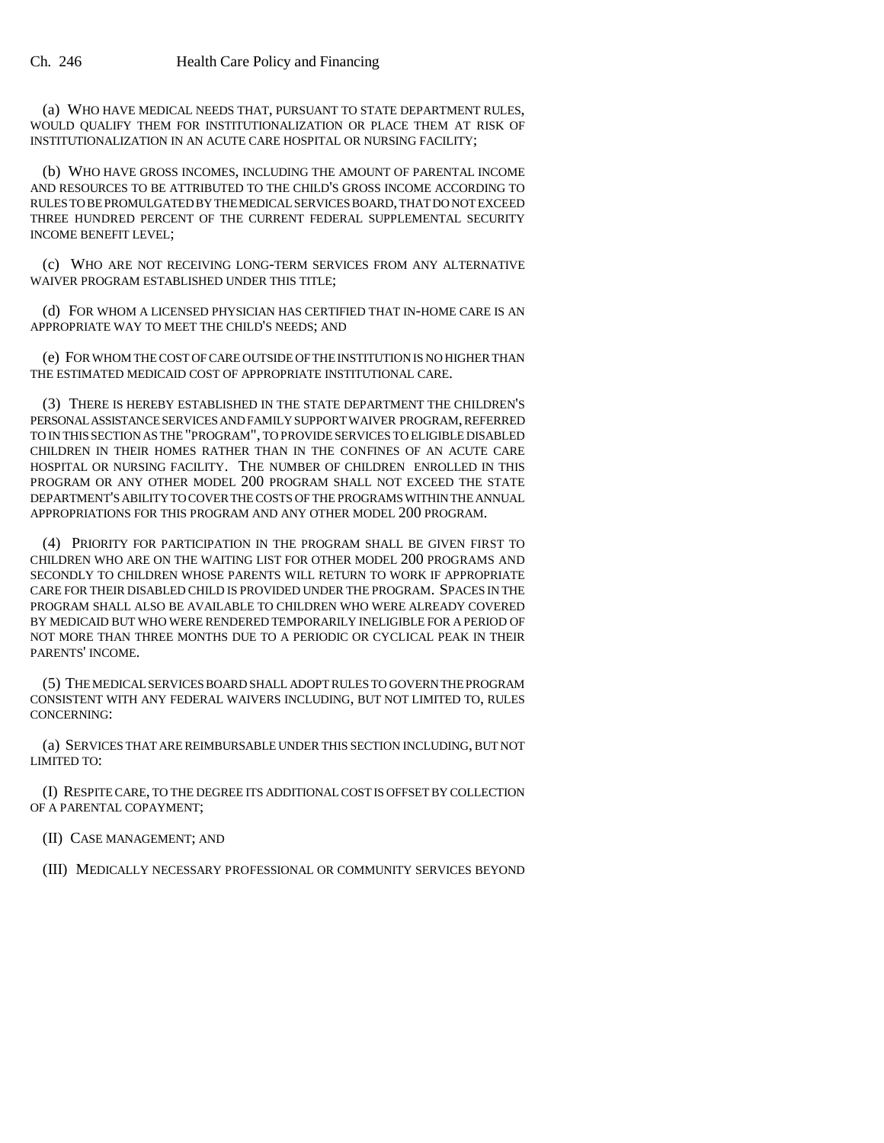(a) WHO HAVE MEDICAL NEEDS THAT, PURSUANT TO STATE DEPARTMENT RULES, WOULD QUALIFY THEM FOR INSTITUTIONALIZATION OR PLACE THEM AT RISK OF INSTITUTIONALIZATION IN AN ACUTE CARE HOSPITAL OR NURSING FACILITY;

(b) WHO HAVE GROSS INCOMES, INCLUDING THE AMOUNT OF PARENTAL INCOME AND RESOURCES TO BE ATTRIBUTED TO THE CHILD'S GROSS INCOME ACCORDING TO RULES TO BE PROMULGATED BY THE MEDICAL SERVICES BOARD, THAT DO NOT EXCEED THREE HUNDRED PERCENT OF THE CURRENT FEDERAL SUPPLEMENTAL SECURITY INCOME BENEFIT LEVEL;

(c) WHO ARE NOT RECEIVING LONG-TERM SERVICES FROM ANY ALTERNATIVE WAIVER PROGRAM ESTABLISHED UNDER THIS TITLE;

(d) FOR WHOM A LICENSED PHYSICIAN HAS CERTIFIED THAT IN-HOME CARE IS AN APPROPRIATE WAY TO MEET THE CHILD'S NEEDS; AND

(e) FOR WHOM THE COST OF CARE OUTSIDE OF THE INSTITUTION IS NO HIGHER THAN THE ESTIMATED MEDICAID COST OF APPROPRIATE INSTITUTIONAL CARE.

(3) THERE IS HEREBY ESTABLISHED IN THE STATE DEPARTMENT THE CHILDREN'S PERSONAL ASSISTANCE SERVICES AND FAMILY SUPPORT WAIVER PROGRAM, REFERRED TO IN THIS SECTION AS THE "PROGRAM", TO PROVIDE SERVICES TO ELIGIBLE DISABLED CHILDREN IN THEIR HOMES RATHER THAN IN THE CONFINES OF AN ACUTE CARE HOSPITAL OR NURSING FACILITY. THE NUMBER OF CHILDREN ENROLLED IN THIS PROGRAM OR ANY OTHER MODEL 200 PROGRAM SHALL NOT EXCEED THE STATE DEPARTMENT'S ABILITY TO COVER THE COSTS OF THE PROGRAMS WITHIN THE ANNUAL APPROPRIATIONS FOR THIS PROGRAM AND ANY OTHER MODEL 200 PROGRAM.

(4) PRIORITY FOR PARTICIPATION IN THE PROGRAM SHALL BE GIVEN FIRST TO CHILDREN WHO ARE ON THE WAITING LIST FOR OTHER MODEL 200 PROGRAMS AND SECONDLY TO CHILDREN WHOSE PARENTS WILL RETURN TO WORK IF APPROPRIATE CARE FOR THEIR DISABLED CHILD IS PROVIDED UNDER THE PROGRAM. SPACES IN THE PROGRAM SHALL ALSO BE AVAILABLE TO CHILDREN WHO WERE ALREADY COVERED BY MEDICAID BUT WHO WERE RENDERED TEMPORARILY INELIGIBLE FOR A PERIOD OF NOT MORE THAN THREE MONTHS DUE TO A PERIODIC OR CYCLICAL PEAK IN THEIR PARENTS' INCOME.

(5) THE MEDICAL SERVICES BOARD SHALL ADOPT RULES TO GOVERN THE PROGRAM CONSISTENT WITH ANY FEDERAL WAIVERS INCLUDING, BUT NOT LIMITED TO, RULES CONCERNING:

(a) SERVICES THAT ARE REIMBURSABLE UNDER THIS SECTION INCLUDING, BUT NOT LIMITED TO:

(I) RESPITE CARE, TO THE DEGREE ITS ADDITIONAL COST IS OFFSET BY COLLECTION OF A PARENTAL COPAYMENT;

(II) CASE MANAGEMENT; AND

(III) MEDICALLY NECESSARY PROFESSIONAL OR COMMUNITY SERVICES BEYOND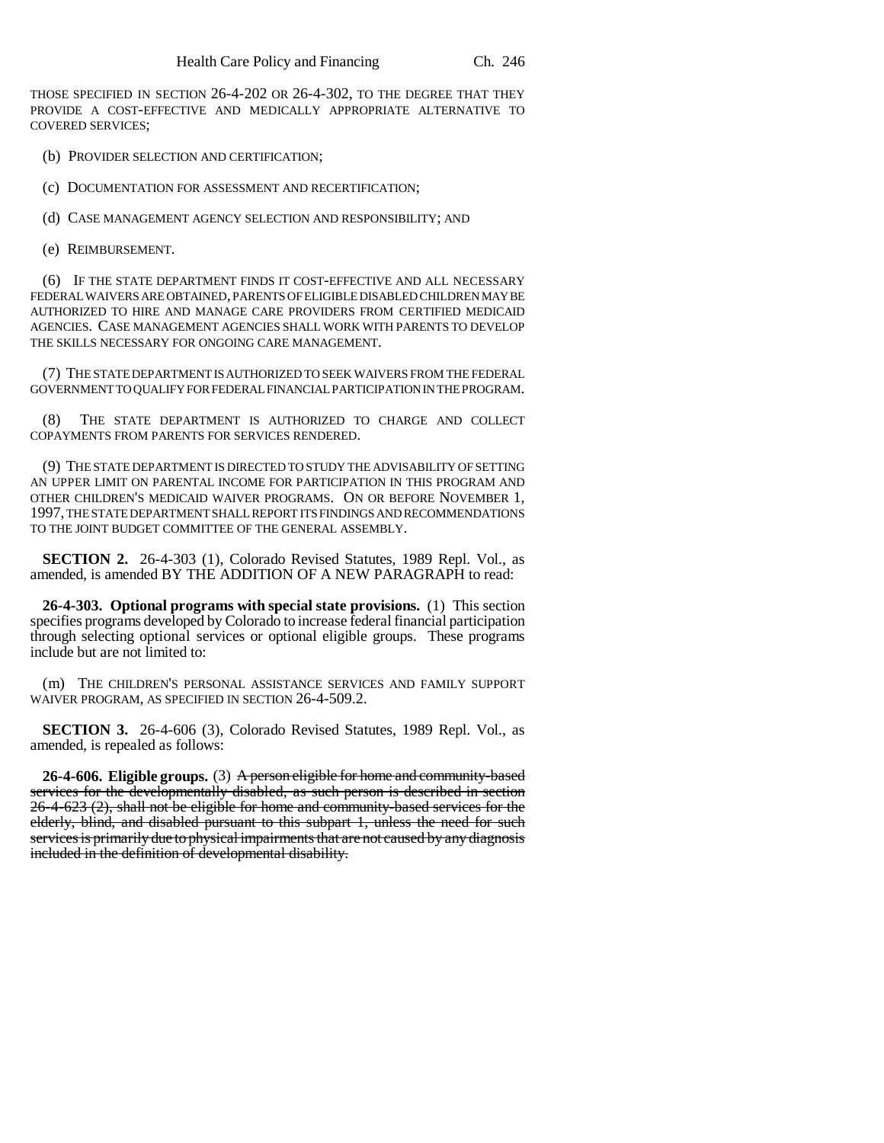THOSE SPECIFIED IN SECTION 26-4-202 OR 26-4-302, TO THE DEGREE THAT THEY PROVIDE A COST-EFFECTIVE AND MEDICALLY APPROPRIATE ALTERNATIVE TO COVERED SERVICES;

(b) PROVIDER SELECTION AND CERTIFICATION;

(c) DOCUMENTATION FOR ASSESSMENT AND RECERTIFICATION;

(d) CASE MANAGEMENT AGENCY SELECTION AND RESPONSIBILITY; AND

(e) REIMBURSEMENT.

(6) IF THE STATE DEPARTMENT FINDS IT COST-EFFECTIVE AND ALL NECESSARY FEDERAL WAIVERS ARE OBTAINED, PARENTS OF ELIGIBLE DISABLED CHILDREN MAY BE AUTHORIZED TO HIRE AND MANAGE CARE PROVIDERS FROM CERTIFIED MEDICAID AGENCIES. CASE MANAGEMENT AGENCIES SHALL WORK WITH PARENTS TO DEVELOP THE SKILLS NECESSARY FOR ONGOING CARE MANAGEMENT.

(7) THE STATE DEPARTMENT IS AUTHORIZED TO SEEK WAIVERS FROM THE FEDERAL GOVERNMENT TO QUALIFY FOR FEDERAL FINANCIAL PARTICIPATION IN THE PROGRAM.

(8) THE STATE DEPARTMENT IS AUTHORIZED TO CHARGE AND COLLECT COPAYMENTS FROM PARENTS FOR SERVICES RENDERED.

(9) THE STATE DEPARTMENT IS DIRECTED TO STUDY THE ADVISABILITY OF SETTING AN UPPER LIMIT ON PARENTAL INCOME FOR PARTICIPATION IN THIS PROGRAM AND OTHER CHILDREN'S MEDICAID WAIVER PROGRAMS. ON OR BEFORE NOVEMBER 1, 1997, THE STATE DEPARTMENT SHALL REPORT ITS FINDINGS AND RECOMMENDATIONS TO THE JOINT BUDGET COMMITTEE OF THE GENERAL ASSEMBLY.

**SECTION 2.** 26-4-303 (1), Colorado Revised Statutes, 1989 Repl. Vol., as amended, is amended BY THE ADDITION OF A NEW PARAGRAPH to read:

**26-4-303. Optional programs with special state provisions.** (1) This section specifies programs developed by Colorado to increase federal financial participation through selecting optional services or optional eligible groups. These programs include but are not limited to:

(m) THE CHILDREN'S PERSONAL ASSISTANCE SERVICES AND FAMILY SUPPORT WAIVER PROGRAM, AS SPECIFIED IN SECTION 26-4-509.2.

**SECTION 3.** 26-4-606 (3), Colorado Revised Statutes, 1989 Repl. Vol., as amended, is repealed as follows:

**26-4-606. Eligible groups.** (3) A person eligible for home and community-based services for the developmentally disabled, as such person is described in section 26-4-623 (2), shall not be eligible for home and community-based services for the elderly, blind, and disabled pursuant to this subpart 1, unless the need for such services is primarily due to physical impairments that are not caused by any diagnosis included in the definition of developmental disability.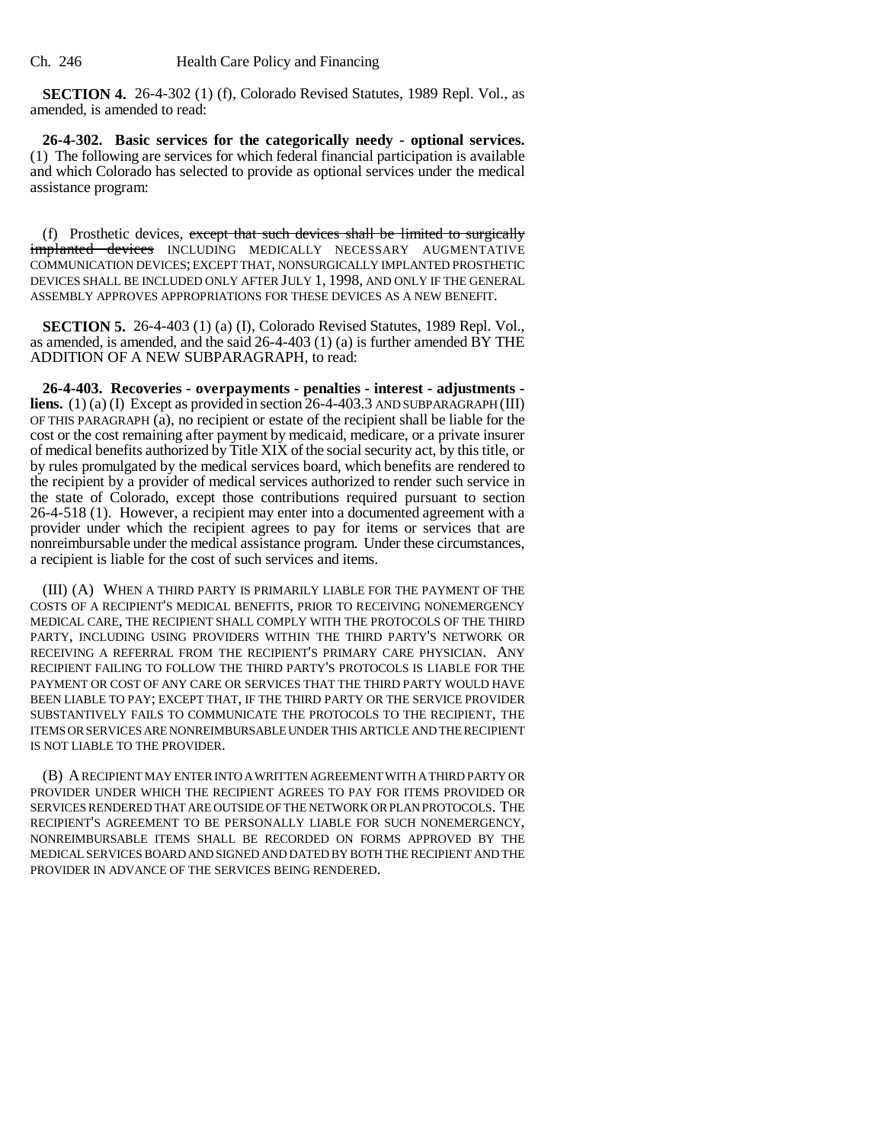**SECTION 4.** 26-4-302 (1) (f), Colorado Revised Statutes, 1989 Repl. Vol., as amended, is amended to read:

**26-4-302. Basic services for the categorically needy - optional services.** (1) The following are services for which federal financial participation is available and which Colorado has selected to provide as optional services under the medical assistance program:

(f) Prosthetic devices, except that such devices shall be limited to surgically implanted devices INCLUDING MEDICALLY NECESSARY AUGMENTATIVE COMMUNICATION DEVICES; EXCEPT THAT, NONSURGICALLY IMPLANTED PROSTHETIC DEVICES SHALL BE INCLUDED ONLY AFTER JULY 1, 1998, AND ONLY IF THE GENERAL ASSEMBLY APPROVES APPROPRIATIONS FOR THESE DEVICES AS A NEW BENEFIT.

**SECTION 5.** 26-4-403 (1) (a) (I), Colorado Revised Statutes, 1989 Repl. Vol., as amended, is amended, and the said 26-4-403 (1) (a) is further amended BY THE ADDITION OF A NEW SUBPARAGRAPH, to read:

**26-4-403. Recoveries - overpayments - penalties - interest - adjustments liens.** (1) (a) (I) Except as provided in section 26-4-403.3 AND SUBPARAGRAPH (III) OF THIS PARAGRAPH (a), no recipient or estate of the recipient shall be liable for the cost or the cost remaining after payment by medicaid, medicare, or a private insurer of medical benefits authorized by Title XIX of the social security act, by this title, or by rules promulgated by the medical services board, which benefits are rendered to the recipient by a provider of medical services authorized to render such service in the state of Colorado, except those contributions required pursuant to section 26-4-518 (1). However, a recipient may enter into a documented agreement with a provider under which the recipient agrees to pay for items or services that are nonreimbursable under the medical assistance program. Under these circumstances, a recipient is liable for the cost of such services and items.

(III) (A) WHEN A THIRD PARTY IS PRIMARILY LIABLE FOR THE PAYMENT OF THE COSTS OF A RECIPIENT'S MEDICAL BENEFITS, PRIOR TO RECEIVING NONEMERGENCY MEDICAL CARE, THE RECIPIENT SHALL COMPLY WITH THE PROTOCOLS OF THE THIRD PARTY, INCLUDING USING PROVIDERS WITHIN THE THIRD PARTY'S NETWORK OR RECEIVING A REFERRAL FROM THE RECIPIENT'S PRIMARY CARE PHYSICIAN. ANY RECIPIENT FAILING TO FOLLOW THE THIRD PARTY'S PROTOCOLS IS LIABLE FOR THE PAYMENT OR COST OF ANY CARE OR SERVICES THAT THE THIRD PARTY WOULD HAVE BEEN LIABLE TO PAY; EXCEPT THAT, IF THE THIRD PARTY OR THE SERVICE PROVIDER SUBSTANTIVELY FAILS TO COMMUNICATE THE PROTOCOLS TO THE RECIPIENT, THE ITEMS OR SERVICES ARE NONREIMBURSABLE UNDER THIS ARTICLE AND THE RECIPIENT IS NOT LIABLE TO THE PROVIDER.

(B) A RECIPIENT MAY ENTER INTO A WRITTEN AGREEMENT WITH A THIRD PARTY OR PROVIDER UNDER WHICH THE RECIPIENT AGREES TO PAY FOR ITEMS PROVIDED OR SERVICES RENDERED THAT ARE OUTSIDE OF THE NETWORK OR PLAN PROTOCOLS. THE RECIPIENT'S AGREEMENT TO BE PERSONALLY LIABLE FOR SUCH NONEMERGENCY, NONREIMBURSABLE ITEMS SHALL BE RECORDED ON FORMS APPROVED BY THE MEDICAL SERVICES BOARD AND SIGNED AND DATED BY BOTH THE RECIPIENT AND THE PROVIDER IN ADVANCE OF THE SERVICES BEING RENDERED.